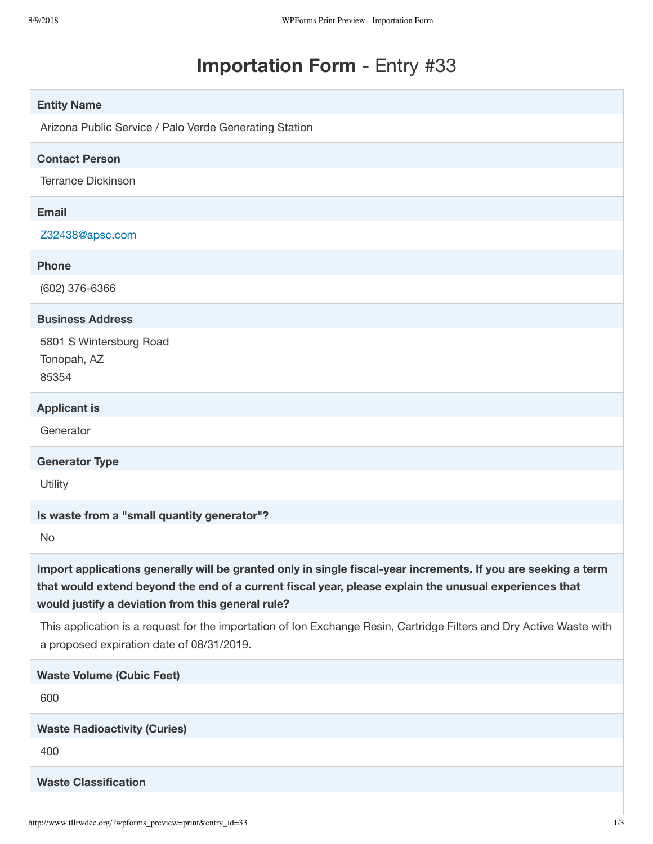# **Importation Form** - Entry #33

| <b>Entity Name</b>                                                                                                                                                                                                                                                            |
|-------------------------------------------------------------------------------------------------------------------------------------------------------------------------------------------------------------------------------------------------------------------------------|
| Arizona Public Service / Palo Verde Generating Station                                                                                                                                                                                                                        |
| <b>Contact Person</b>                                                                                                                                                                                                                                                         |
| <b>Terrance Dickinson</b>                                                                                                                                                                                                                                                     |
| <b>Email</b>                                                                                                                                                                                                                                                                  |
| Z32438@apsc.com                                                                                                                                                                                                                                                               |
| <b>Phone</b>                                                                                                                                                                                                                                                                  |
| (602) 376-6366                                                                                                                                                                                                                                                                |
| <b>Business Address</b>                                                                                                                                                                                                                                                       |
| 5801 S Wintersburg Road<br>Tonopah, AZ<br>85354                                                                                                                                                                                                                               |
| <b>Applicant is</b>                                                                                                                                                                                                                                                           |
| Generator                                                                                                                                                                                                                                                                     |
| <b>Generator Type</b>                                                                                                                                                                                                                                                         |
| Utility                                                                                                                                                                                                                                                                       |
| Is waste from a "small quantity generator"?                                                                                                                                                                                                                                   |
| No                                                                                                                                                                                                                                                                            |
| Import applications generally will be granted only in single fiscal-year increments. If you are seeking a term<br>that would extend beyond the end of a current fiscal year, please explain the unusual experiences that<br>would justify a deviation from this general rule? |
| This application is a request for the importation of Ion Exchange Resin, Cartridge Filters and Dry Active Waste with<br>a proposed expiration date of 08/31/2019.                                                                                                             |
| <b>Waste Volume (Cubic Feet)</b>                                                                                                                                                                                                                                              |
| 600                                                                                                                                                                                                                                                                           |
| <b>Waste Radioactivity (Curies)</b>                                                                                                                                                                                                                                           |
| 400                                                                                                                                                                                                                                                                           |
| <b>Waste Classification</b>                                                                                                                                                                                                                                                   |
|                                                                                                                                                                                                                                                                               |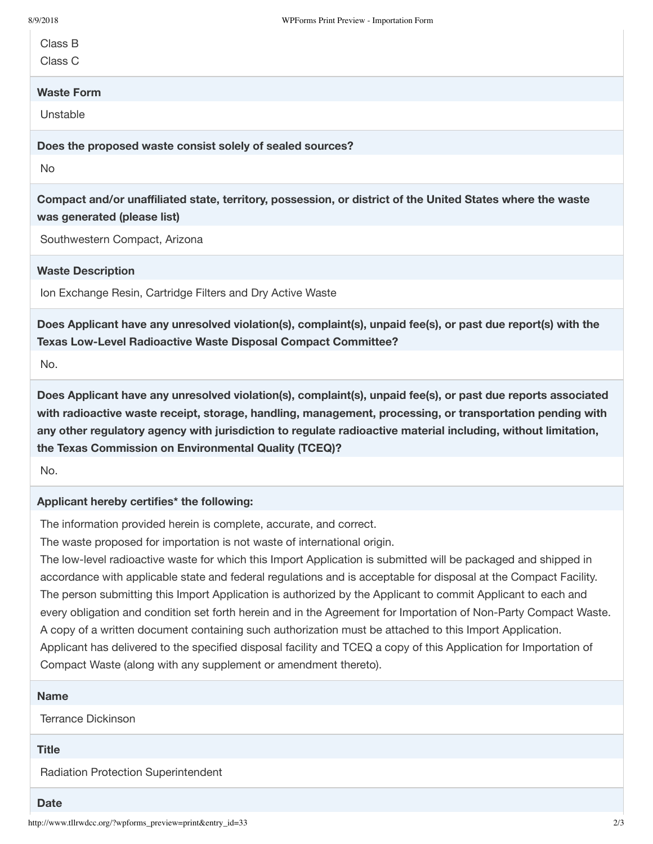Class B

Class C

## **Waste Form**

Unstable

**Does the proposed waste consist solely of sealed sources?**

No

**Compact and/or unaffiliated state, territory, possession, or district of the United States where the waste was generated (please list)**

Southwestern Compact, Arizona

## **Waste Description**

Ion Exchange Resin, Cartridge Filters and Dry Active Waste

**Does Applicant have any unresolved violation(s), complaint(s), unpaid fee(s), or past due report(s) with the Texas Low-Level Radioactive Waste Disposal Compact Committee?**

No.

**Does Applicant have any unresolved violation(s), complaint(s), unpaid fee(s), or past due reports associated with radioactive waste receipt, storage, handling, management, processing, or transportation pending with any other regulatory agency with jurisdiction to regulate radioactive material including, without limitation, the Texas Commission on Environmental Quality (TCEQ)?**

No.

## **Applicant hereby certifies\* the following:**

The information provided herein is complete, accurate, and correct.

The waste proposed for importation is not waste of international origin.

The low-level radioactive waste for which this Import Application is submitted will be packaged and shipped in accordance with applicable state and federal regulations and is acceptable for disposal at the Compact Facility. The person submitting this Import Application is authorized by the Applicant to commit Applicant to each and every obligation and condition set forth herein and in the Agreement for Importation of Non-Party Compact Waste. A copy of a written document containing such authorization must be attached to this Import Application. Applicant has delivered to the specified disposal facility and TCEQ a copy of this Application for Importation of Compact Waste (along with any supplement or amendment thereto).

#### **Name**

Terrance Dickinson

### **Title**

Radiation Protection Superintendent

#### **Date**